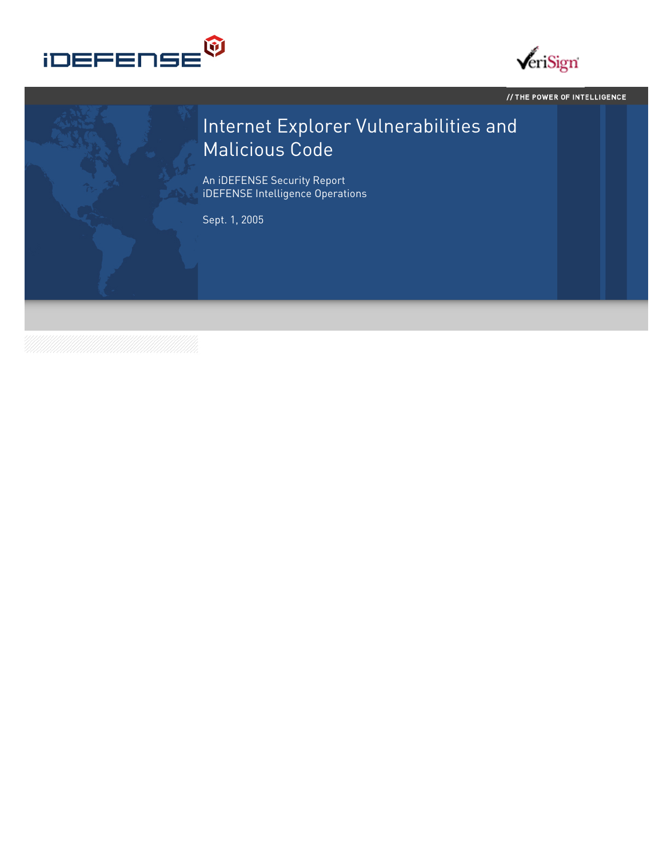



// THE POWER OF INTELLIGENCE

# Internet Explorer Vulnerabilities and Malicious Code

An iDEFENSE Security Report iDEFENSE Intelligence Operations

Sept. 1, 2005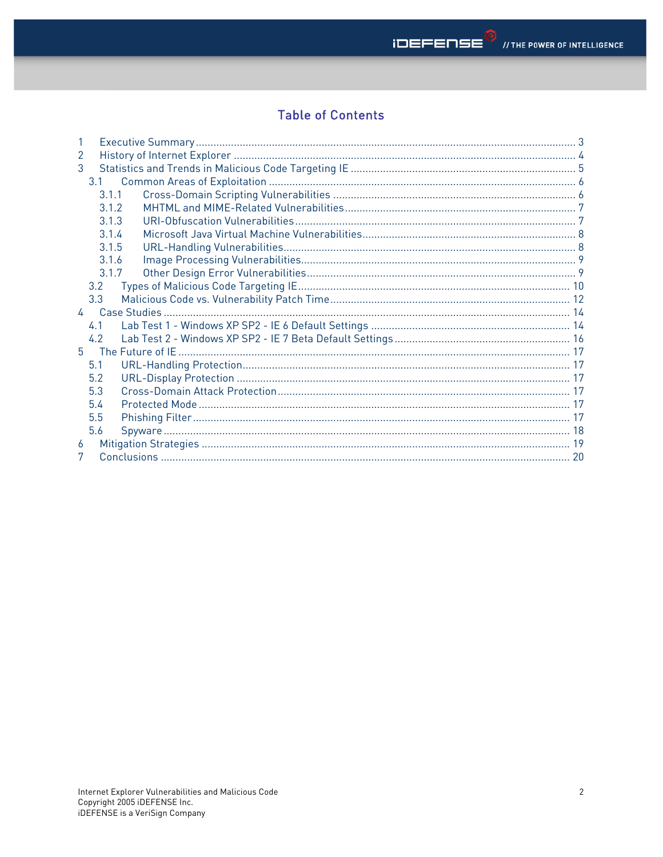# **Table of Contents**

| $\mathcal{P}$ |  |
|---------------|--|
| 3             |  |
| 3.1           |  |
| 3.1.1         |  |
| 3.1.2         |  |
| 3.1.3         |  |
| 3.1.4         |  |
| 3.1.5         |  |
| 3.1.6         |  |
| 3.1.7         |  |
| 3.2           |  |
| 3.3           |  |
|               |  |
| 4.1           |  |
| 4.2           |  |
| $5 -$         |  |
| 5.1           |  |
| 5.2           |  |
| 5.3           |  |
| 5.4           |  |
| 5.5           |  |
| 5.6           |  |
| 6             |  |
| 7             |  |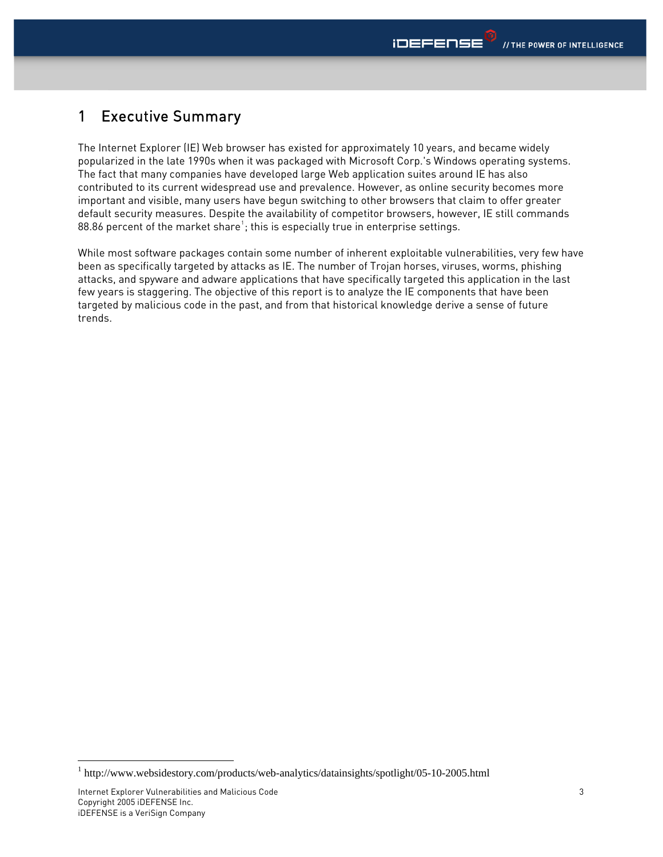### <span id="page-2-0"></span>1 Executive Summary

The Internet Explorer (IE) Web browser has existed for approximately 10 years, and became widely popularized in the late 1990s when it was packaged with Microsoft Corp.'s Windows operating systems. The fact that many companies have developed large Web application suites around IE has also contributed to its current widespread use and prevalence. However, as online security becomes more important and visible, many users have begun switching to other browsers that claim to offer greater default security measures. Despite the availability of competitor browsers, however, IE still commands 88.86 percent of the market share $^{\text{\tiny{1}}}$  $^{\text{\tiny{1}}}$  $^{\text{\tiny{1}}}$ ; this is especially true in enterprise settings.

While most software packages contain some number of inherent exploitable vulnerabilities, very few have been as specifically targeted by attacks as IE. The number of Trojan horses, viruses, worms, phishing attacks, and spyware and adware applications that have specifically targeted this application in the last few years is staggering. The objective of this report is to analyze the IE components that have been targeted by malicious code in the past, and from that historical knowledge derive a sense of future trends.

-

<span id="page-2-1"></span><sup>&</sup>lt;sup>1</sup> http://www.websidestory.com/products/web-analytics/datainsights/spotlight/05-10-2005.html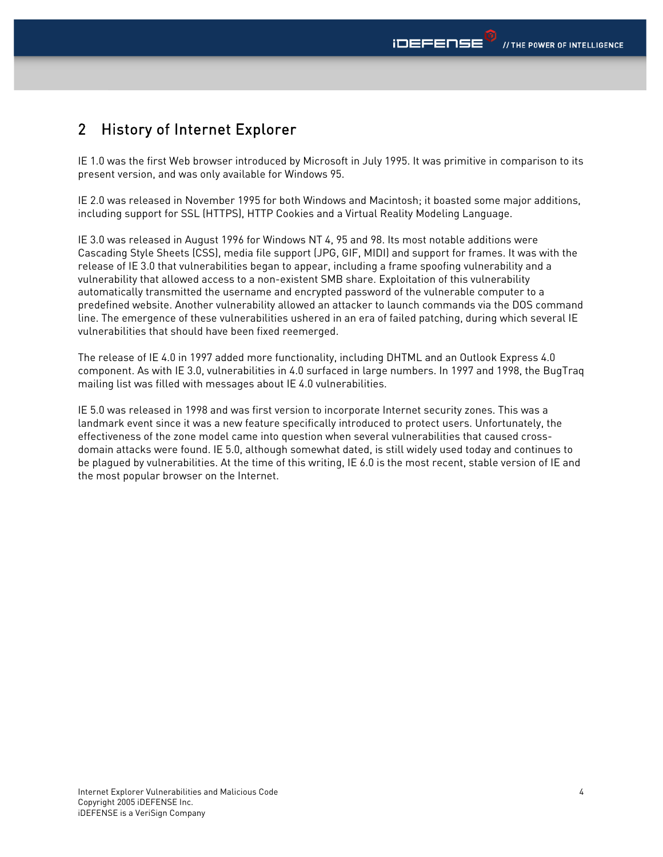# <span id="page-3-0"></span>2 History of Internet Explorer

IE 1.0 was the first Web browser introduced by Microsoft in July 1995. It was primitive in comparison to its present version, and was only available for Windows 95.

IE 2.0 was released in November 1995 for both Windows and Macintosh; it boasted some major additions, including support for SSL (HTTPS), HTTP Cookies and a Virtual Reality Modeling Language.

IE 3.0 was released in August 1996 for Windows NT 4, 95 and 98. Its most notable additions were Cascading Style Sheets (CSS), media file support (JPG, GIF, MIDI) and support for frames. It was with the release of IE 3.0 that vulnerabilities began to appear, including a frame spoofing vulnerability and a vulnerability that allowed access to a non-existent SMB share. Exploitation of this vulnerability automatically transmitted the username and encrypted password of the vulnerable computer to a predefined website. Another vulnerability allowed an attacker to launch commands via the DOS command line. The emergence of these vulnerabilities ushered in an era of failed patching, during which several IE vulnerabilities that should have been fixed reemerged.

The release of IE 4.0 in 1997 added more functionality, including DHTML and an Outlook Express 4.0 component. As with IE 3.0, vulnerabilities in 4.0 surfaced in large numbers. In 1997 and 1998, the BugTraq mailing list was filled with messages about IE 4.0 vulnerabilities.

IE 5.0 was released in 1998 and was first version to incorporate Internet security zones. This was a landmark event since it was a new feature specifically introduced to protect users. Unfortunately, the effectiveness of the zone model came into question when several vulnerabilities that caused crossdomain attacks were found. IE 5.0, although somewhat dated, is still widely used today and continues to be plagued by vulnerabilities. At the time of this writing, IE 6.0 is the most recent, stable version of IE and the most popular browser on the Internet.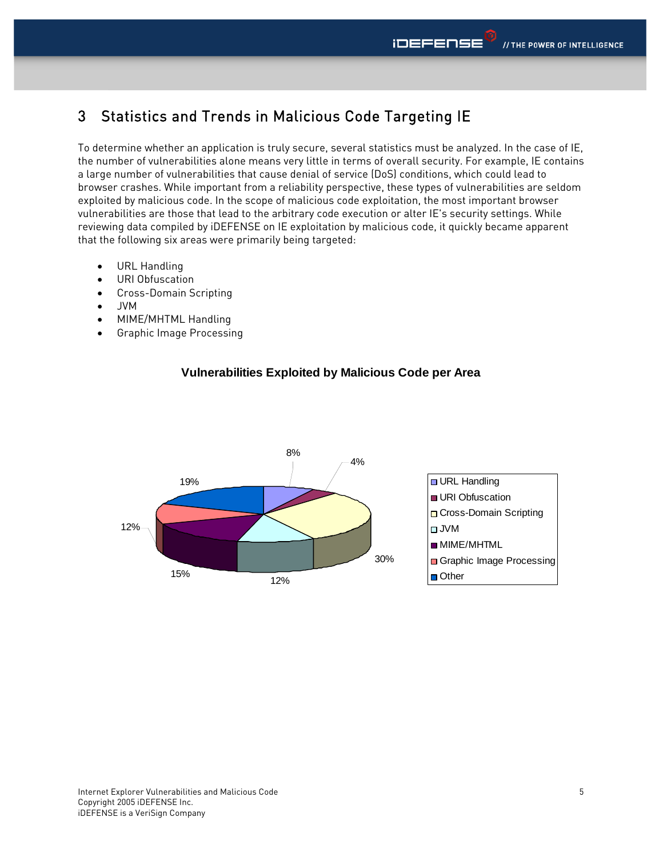# <span id="page-4-0"></span>3 Statistics and Trends in Malicious Code Targeting IE

To determine whether an application is truly secure, several statistics must be analyzed. In the case of IE, the number of vulnerabilities alone means very little in terms of overall security. For example, IE contains a large number of vulnerabilities that cause denial of service (DoS) conditions, which could lead to browser crashes. While important from a reliability perspective, these types of vulnerabilities are seldom exploited by malicious code. In the scope of malicious code exploitation, the most important browser vulnerabilities are those that lead to the arbitrary code execution or alter IE's security settings. While reviewing data compiled by iDEFENSE on IE exploitation by malicious code, it quickly became apparent that the following six areas were primarily being targeted:

- URL Handling
- URI Obfuscation
- Cross-Domain Scripting
- JVM
- MIME/MHTML Handling
- Graphic Image Processing



#### **Vulnerabilities Exploited by Malicious Code per Area**

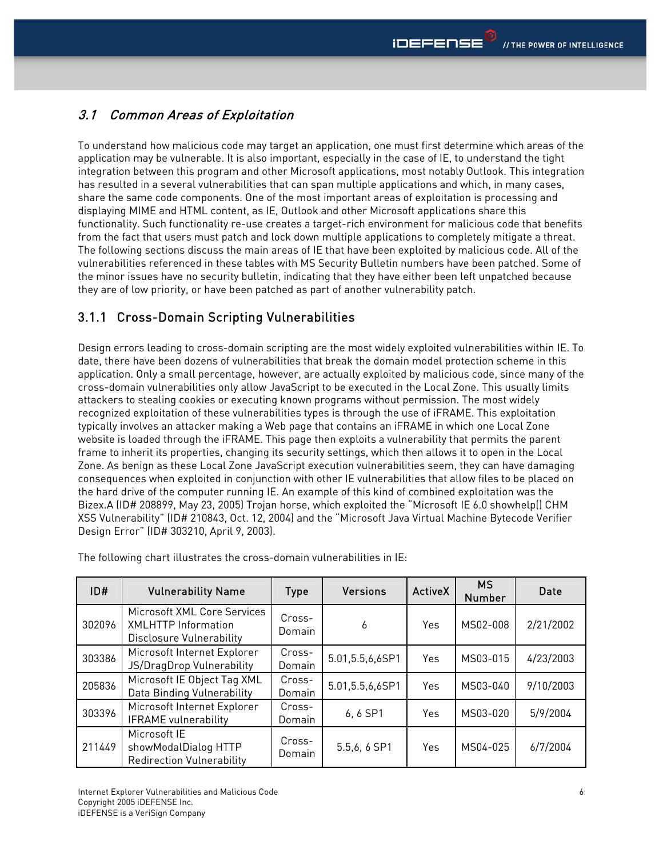#### <span id="page-5-0"></span>3.1 Common Areas of Exploitation

To understand how malicious code may target an application, one must first determine which areas of the application may be vulnerable. It is also important, especially in the case of IE, to understand the tight integration between this program and other Microsoft applications, most notably Outlook. This integration has resulted in a several vulnerabilities that can span multiple applications and which, in many cases, share the same code components. One of the most important areas of exploitation is processing and displaying MIME and HTML content, as IE, Outlook and other Microsoft applications share this functionality. Such functionality re-use creates a target-rich environment for malicious code that benefits from the fact that users must patch and lock down multiple applications to completely mitigate a threat. The following sections discuss the main areas of IE that have been exploited by malicious code. All of the vulnerabilities referenced in these tables with MS Security Bulletin numbers have been patched. Some of the minor issues have no security bulletin, indicating that they have either been left unpatched because they are of low priority, or have been patched as part of another vulnerability patch.

#### 3.1.1 Cross-Domain Scripting Vulnerabilities

Design errors leading to cross-domain scripting are the most widely exploited vulnerabilities within IE. To date, there have been dozens of vulnerabilities that break the domain model protection scheme in this application. Only a small percentage, however, are actually exploited by malicious code, since many of the cross-domain vulnerabilities only allow JavaScript to be executed in the Local Zone. This usually limits attackers to stealing cookies or executing known programs without permission. The most widely recognized exploitation of these vulnerabilities types is through the use of iFRAME. This exploitation typically involves an attacker making a Web page that contains an iFRAME in which one Local Zone website is loaded through the iFRAME. This page then exploits a vulnerability that permits the parent frame to inherit its properties, changing its security settings, which then allows it to open in the Local Zone. As benign as these Local Zone JavaScript execution vulnerabilities seem, they can have damaging consequences when exploited in conjunction with other IE vulnerabilities that allow files to be placed on the hard drive of the computer running IE. An example of this kind of combined exploitation was the Bizex.A (ID# 208899, May 23, 2005) Trojan horse, which exploited the "Microsoft IE 6.0 showhelp() CHM XSS Vulnerability" (ID# 210843, Oct. 12, 2004) and the "Microsoft Java Virtual Machine Bytecode Verifier Design Error" (ID# 303210, April 9, 2003).

| ID#    | <b>Vulnerability Name</b>                                                             | <b>Type</b>      | <b>Versions</b>    | <b>ActiveX</b> | <b>MS</b><br><b>Number</b> | Date      |
|--------|---------------------------------------------------------------------------------------|------------------|--------------------|----------------|----------------------------|-----------|
| 302096 | Microsoft XML Core Services<br><b>XMLHTTP Information</b><br>Disclosure Vulnerability | Cross-<br>Domain | 6                  | Yes            | MS02-008                   | 2/21/2002 |
| 303386 | Microsoft Internet Explorer<br>JS/DragDrop Vulnerability                              | Cross-<br>Domain | 5.01, 5.5, 6, 6SP1 | Yes            | MS03-015                   | 4/23/2003 |
| 205836 | Microsoft IE Object Tag XML<br>Data Binding Vulnerability                             | Cross-<br>Domain | 5.01, 5.5, 6, 6SP1 | Yes            | MS03-040                   | 9/10/2003 |
| 303396 | Microsoft Internet Explorer<br><b>IFRAME</b> vulnerability                            | Cross-<br>Domain | 6,6 SP1            | Yes            | MS03-020                   | 5/9/2004  |
| 211449 | Microsoft IE<br>showModalDialog HTTP<br>Redirection Vulnerability                     | Cross-<br>Domain | 5.5,6, 6 SP1       | Yes            | MS04-025                   | 6/7/2004  |

The following chart illustrates the cross-domain vulnerabilities in IE: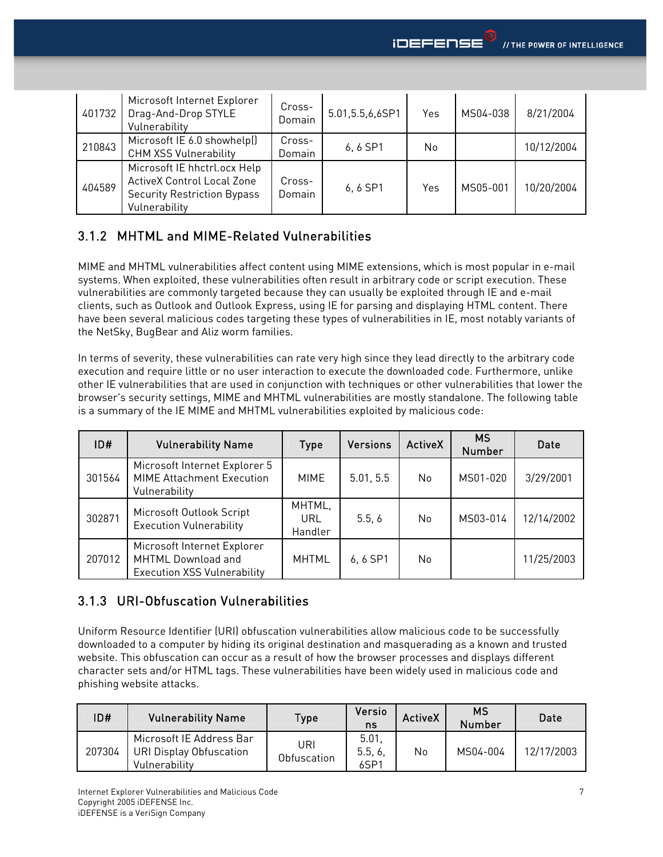<span id="page-6-0"></span>

| 401732 | Microsoft Internet Explorer<br>Drag-And-Drop STYLE<br>Vulnerability                                                      | Cross-<br>Domain | 5.01, 5.5, 6, 6SP1 | Yes | MS04-038 | 8/21/2004  |
|--------|--------------------------------------------------------------------------------------------------------------------------|------------------|--------------------|-----|----------|------------|
| 210843 | Microsoft IE 6.0 showhelp()<br><b>CHM XSS Vulnerability</b>                                                              | Cross-<br>Domain | 6, 6 SP1           | No. |          | 10/12/2004 |
| 404589 | Microsoft IE hhctrl.ocx Help<br><b>ActiveX Control Local Zone</b><br><b>Security Restriction Bypass</b><br>Vulnerability | Cross-<br>Domain | 6, 6 SP1           | Yes | MS05-001 | 10/20/2004 |

#### 3.1.2 MHTML and MIME-Related Vulnerabilities

MIME and MHTML vulnerabilities affect content using MIME extensions, which is most popular in e-mail systems. When exploited, these vulnerabilities often result in arbitrary code or script execution. These vulnerabilities are commonly targeted because they can usually be exploited through IE and e-mail clients, such as Outlook and Outlook Express, using IE for parsing and displaying HTML content. There have been several malicious codes targeting these types of vulnerabilities in IE, most notably variants of the NetSky, BugBear and Aliz worm families.

In terms of severity, these vulnerabilities can rate very high since they lead directly to the arbitrary code execution and require little or no user interaction to execute the downloaded code. Furthermore, unlike other IE vulnerabilities that are used in conjunction with techniques or other vulnerabilities that lower the browser's security settings, MIME and MHTML vulnerabilities are mostly standalone. The following table is a summary of the IE MIME and MHTML vulnerabilities exploited by malicious code:

| ID#    | <b>Vulnerability Name</b>                                                               | <b>Type</b>              | <b>Versions</b> | <b>ActiveX</b> | <b>MS</b><br><b>Number</b> | Date       |
|--------|-----------------------------------------------------------------------------------------|--------------------------|-----------------|----------------|----------------------------|------------|
| 301564 | Microsoft Internet Explorer 5<br><b>MIME Attachment Execution</b><br>Vulnerability      | MIME                     | 5.01, 5.5       | No             | MS01-020                   | 3/29/2001  |
| 302871 | Microsoft Outlook Script<br><b>Execution Vulnerability</b>                              | MHTML,<br>URL<br>Handler | 5.5.6           | No.            | MS03-014                   | 12/14/2002 |
| 207012 | Microsoft Internet Explorer<br>MHTML Download and<br><b>Execution XSS Vulnerability</b> | <b>MHTML</b>             | 6,6 SP1         | No             |                            | 11/25/2003 |

#### 3.1.3 URI-Obfuscation Vulnerabilities

Uniform Resource Identifier (URI) obfuscation vulnerabilities allow malicious code to be successfully downloaded to a computer by hiding its original destination and masquerading as a known and trusted website. This obfuscation can occur as a result of how the browser processes and displays different character sets and/or HTML tags. These vulnerabilities have been widely used in malicious code and phishing website attacks.

| ID#    | <b>Vulnerability Name</b>                                                   | Type               | Versio<br>ns                       | <b>ActiveX</b> | МS<br><b>Number</b> | Date       |
|--------|-----------------------------------------------------------------------------|--------------------|------------------------------------|----------------|---------------------|------------|
| 207304 | Microsoft IE Address Bar<br><b>URI Display Obfuscation</b><br>Vulnerability | URI<br>Obfuscation | 5.01<br>5.5, 6<br>6SP <sup>1</sup> | No             | MS04-004            | 12/17/2003 |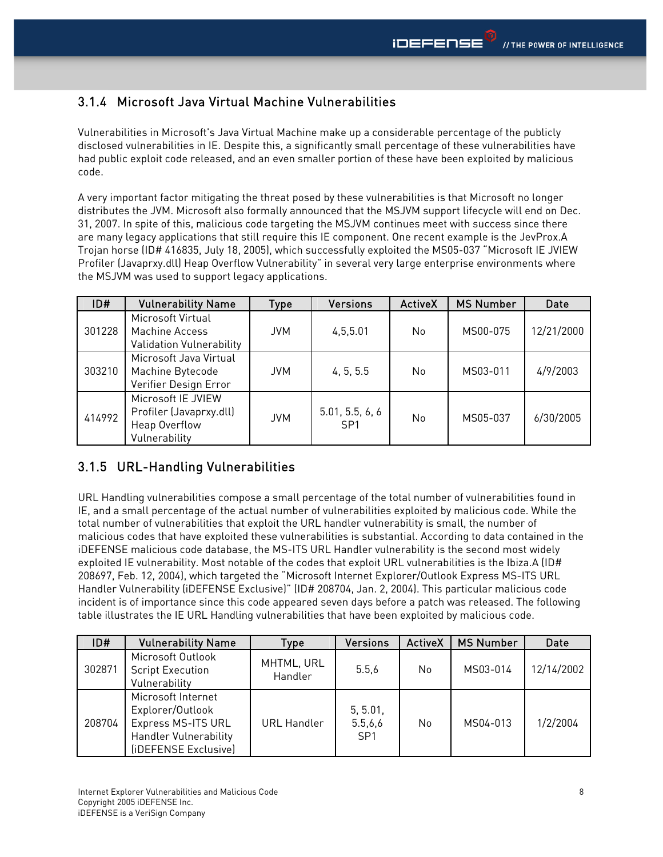#### <span id="page-7-0"></span>3.1.4 Microsoft Java Virtual Machine Vulnerabilities

Vulnerabilities in Microsoft's Java Virtual Machine make up a considerable percentage of the publicly disclosed vulnerabilities in IE. Despite this, a significantly small percentage of these vulnerabilities have had public exploit code released, and an even smaller portion of these have been exploited by malicious code.

A very important factor mitigating the threat posed by these vulnerabilities is that Microsoft no longer distributes the JVM. Microsoft also formally announced that the MSJVM support lifecycle will end on Dec. 31, 2007. In spite of this, malicious code targeting the MSJVM continues meet with success since there are many legacy applications that still require this IE component. One recent example is the JevProx.A Trojan horse (ID# 416835, July 18, 2005), which successfully exploited the MS05-037 "Microsoft IE JVIEW Profiler (Javaprxy.dll) Heap Overflow Vulnerability" in several very large enterprise environments where the MSJVM was used to support legacy applications.

| ID#    | <b>Vulnerability Name</b>                                                       | Type       | <b>Versions</b>                    | <b>ActiveX</b> | <b>MS Number</b> | <b>Date</b> |
|--------|---------------------------------------------------------------------------------|------------|------------------------------------|----------------|------------------|-------------|
| 301228 | Microsoft Virtual<br>Machine Access<br>Validation Vulnerability                 | <b>JVM</b> | 4,5,5.01                           | No             | MS00-075         | 12/21/2000  |
| 303210 | Microsoft Java Virtual<br>Machine Bytecode<br>Verifier Design Error             | <b>JVM</b> | 4, 5, 5.5                          | No.            | MS03-011         | 4/9/2003    |
| 414992 | Microsoft IE JVIEW<br>Profiler (Javaprxy.dll)<br>Heap Overflow<br>Vulnerability | <b>JVM</b> | 5.01, 5.5, 6, 6<br>SP <sub>1</sub> | No.            | MS05-037         | 6/30/2005   |

#### 3.1.5 URL-Handling Vulnerabilities

URL Handling vulnerabilities compose a small percentage of the total number of vulnerabilities found in IE, and a small percentage of the actual number of vulnerabilities exploited by malicious code. While the total number of vulnerabilities that exploit the URL handler vulnerability is small, the number of malicious codes that have exploited these vulnerabilities is substantial. According to data contained in the iDEFENSE malicious code database, the MS-ITS URL Handler vulnerability is the second most widely exploited IE vulnerability. Most notable of the codes that exploit URL vulnerabilities is the Ibiza.A (ID# 208697, Feb. 12, 2004), which targeted the "Microsoft Internet Explorer/Outlook Express MS-ITS URL Handler Vulnerability (iDEFENSE Exclusive)" (ID# 208704, Jan. 2, 2004). This particular malicious code incident is of importance since this code appeared seven days before a patch was released. The following table illustrates the IE URL Handling vulnerabilities that have been exploited by malicious code.

| ID#    | <b>Vulnerability Name</b>                                                                                            | <b>Type</b>           | <b>Versions</b>                        | <b>ActiveX</b> | <b>MS Number</b> | <b>Date</b> |
|--------|----------------------------------------------------------------------------------------------------------------------|-----------------------|----------------------------------------|----------------|------------------|-------------|
| 302871 | Microsoft Outlook<br><b>Script Execution</b><br>Vulnerability                                                        | MHTML, URL<br>Handler | 5.5.6                                  | No             | MS03-014         | 12/14/2002  |
| 208704 | Microsoft Internet<br>Explorer/Outlook<br>Express MS-ITS URL<br><b>Handler Vulnerability</b><br>(iDEFENSE Exclusive) | <b>URL Handler</b>    | 5, 5.01,<br>5.5,6,6<br>SP <sub>1</sub> | No             | MS04-013         | 1/2/2004    |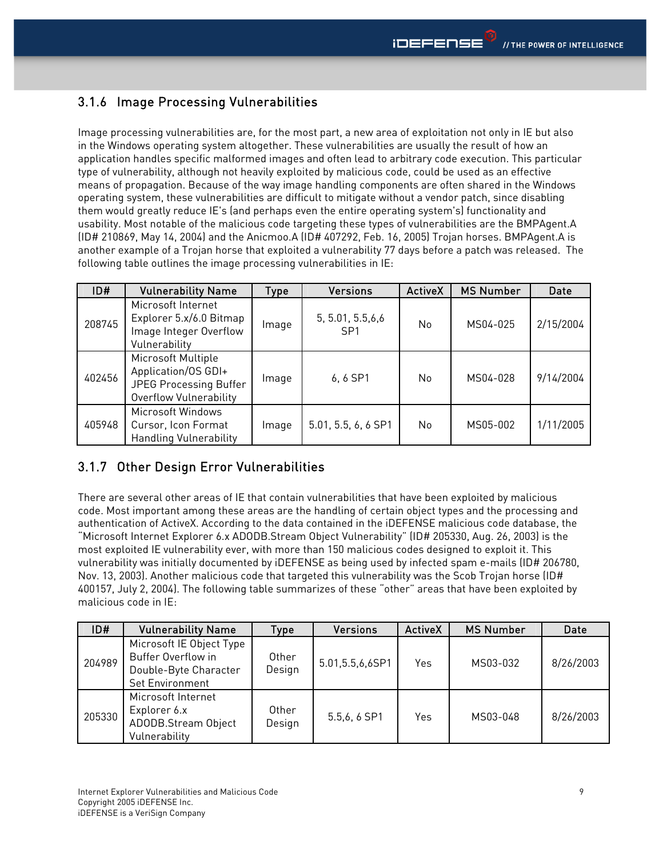# <span id="page-8-0"></span>3.1.6 Image Processing Vulnerabilities

Image processing vulnerabilities are, for the most part, a new area of exploitation not only in IE but also in the Windows operating system altogether. These vulnerabilities are usually the result of how an application handles specific malformed images and often lead to arbitrary code execution. This particular type of vulnerability, although not heavily exploited by malicious code, could be used as an effective means of propagation. Because of the way image handling components are often shared in the Windows operating system, these vulnerabilities are difficult to mitigate without a vendor patch, since disabling them would greatly reduce IE's (and perhaps even the entire operating system's) functionality and usability. Most notable of the malicious code targeting these types of vulnerabilities are the BMPAgent.A (ID# 210869, May 14, 2004) and the Anicmoo.A (ID# 407292, Feb. 16, 2005) Trojan horses. BMPAgent.A is another example of a Trojan horse that exploited a vulnerability 77 days before a patch was released. The following table outlines the image processing vulnerabilities in IE:

| ID#    | <b>Vulnerability Name</b>                                                                     | Type  | <b>Versions</b>                       | <b>ActiveX</b> | <b>MS Number</b> | <b>Date</b> |
|--------|-----------------------------------------------------------------------------------------------|-------|---------------------------------------|----------------|------------------|-------------|
| 208745 | Microsoft Internet<br>Explorer 5.x/6.0 Bitmap<br>Image Integer Overflow<br>Vulnerability      | Image | 5, 5.01, 5.5, 6, 6<br>SP <sub>1</sub> | <b>No</b>      | MS04-025         | 2/15/2004   |
| 402456 | Microsoft Multiple<br>Application/OS GDI+<br>JPEG Processing Buffer<br>Overflow Vulnerability | Image | 6,6 SP1                               | <b>No</b>      | MS04-028         | 9/14/2004   |
| 405948 | Microsoft Windows<br>Cursor, Icon Format<br><b>Handling Vulnerability</b>                     | Image | 5.01, 5.5, 6, 6 SP1                   | N <sub>0</sub> | MS05-002         | 1/11/2005   |

#### 3.1.7 Other Design Error Vulnerabilities

There are several other areas of IE that contain vulnerabilities that have been exploited by malicious code. Most important among these areas are the handling of certain object types and the processing and authentication of ActiveX. According to the data contained in the iDEFENSE malicious code database, the "Microsoft Internet Explorer 6.x ADODB.Stream Object Vulnerability" (ID# 205330, Aug. 26, 2003) is the most exploited IE vulnerability ever, with more than 150 malicious codes designed to exploit it. This vulnerability was initially documented by iDEFENSE as being used by infected spam e-mails (ID# 206780, Nov. 13, 2003). Another malicious code that targeted this vulnerability was the Scob Trojan horse (ID# 400157, July 2, 2004). The following table summarizes of these "other" areas that have been exploited by malicious code in IE:

| ID#    | <b>Vulnerability Name</b>                                                                  | Type            | <b>Versions</b>    | <b>ActiveX</b> | <b>MS Number</b> | Date      |
|--------|--------------------------------------------------------------------------------------------|-----------------|--------------------|----------------|------------------|-----------|
| 204989 | Microsoft IE Object Type<br>Buffer Overflow in<br>Double-Byte Character<br>Set Environment | Other<br>Design | 5.01, 5.5, 6, 6SP1 | Yes            | MS03-032         | 8/26/2003 |
| 205330 | Microsoft Internet<br>Explorer 6.x<br>ADODB.Stream Object<br>Vulnerability                 | Other<br>Design | 5.5,6, 6 SP1       | Yes            | MS03-048         | 8/26/2003 |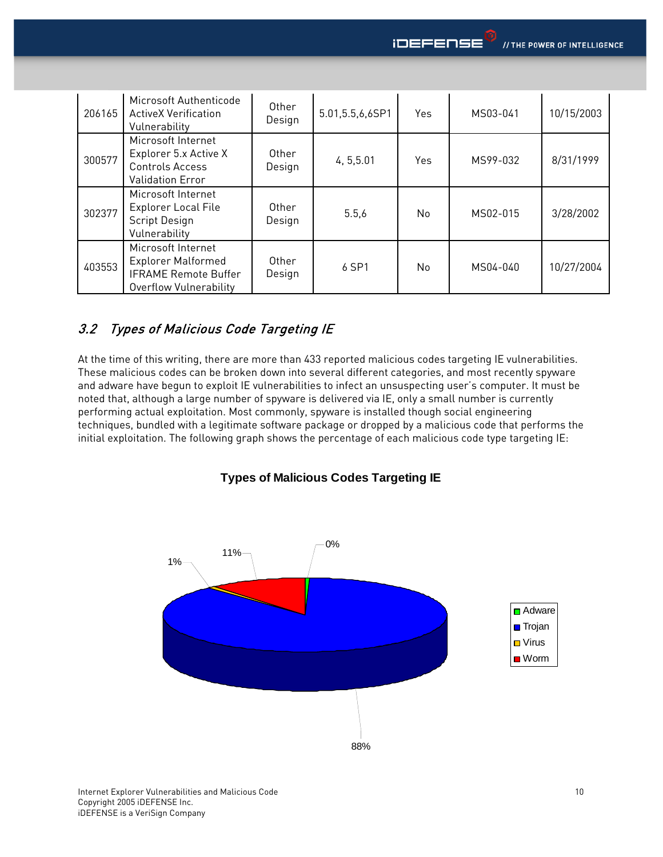<span id="page-9-0"></span>

| 206165 | Microsoft Authenticode<br><b>ActiveX Verification</b><br>Vulnerability                                          | Other<br>Design | 5.01, 5.5, 6, 6SP1 | <b>Yes</b> | MS03-041 | 10/15/2003 |
|--------|-----------------------------------------------------------------------------------------------------------------|-----------------|--------------------|------------|----------|------------|
| 300577 | Microsoft Internet<br>Explorer 5.x Active X<br><b>Controls Access</b><br><b>Validation Error</b>                | Other<br>Design | 4, 5, 5.01         | <b>Yes</b> | MS99-032 | 8/31/1999  |
| 302377 | Microsoft Internet<br><b>Explorer Local File</b><br>Script Design<br>Vulnerability                              | Other<br>Design | 5.5,6              | No         | MS02-015 | 3/28/2002  |
| 403553 | Microsoft Internet<br><b>Explorer Malformed</b><br><b>IFRAME Remote Buffer</b><br><b>Overflow Vulnerability</b> | Other<br>Design | 6 SP1              | No         | MS04-040 | 10/27/2004 |

#### 3.2 Types of Malicious Code Targeting IE

At the time of this writing, there are more than 433 reported malicious codes targeting IE vulnerabilities. These malicious codes can be broken down into several different categories, and most recently spyware and adware have begun to exploit IE vulnerabilities to infect an unsuspecting user's computer. It must be noted that, although a large number of spyware is delivered via IE, only a small number is currently performing actual exploitation. Most commonly, spyware is installed though social engineering techniques, bundled with a legitimate software package or dropped by a malicious code that performs the initial exploitation. The following graph shows the percentage of each malicious code type targeting IE:

#### **Types of Malicious Codes Targeting IE**

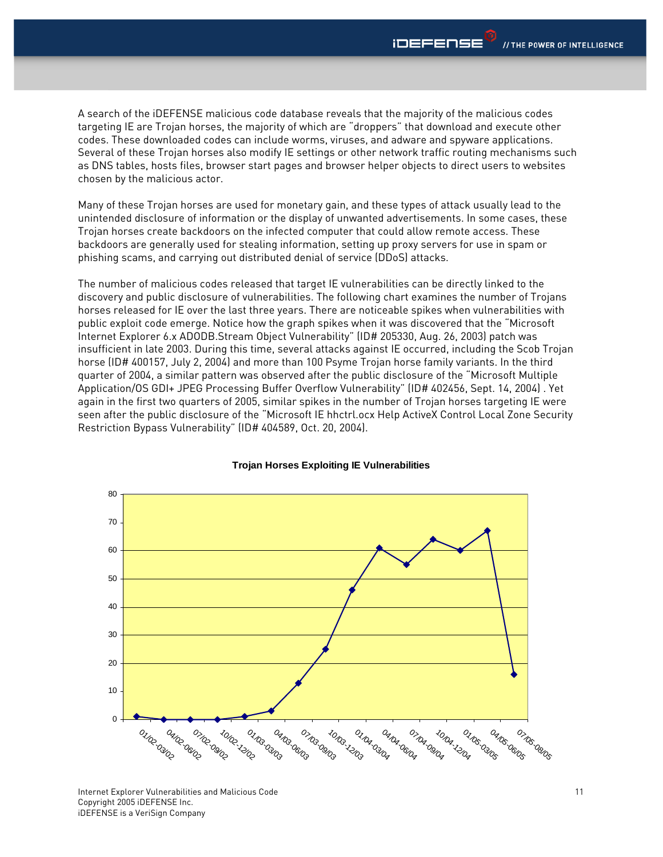A search of the iDEFENSE malicious code database reveals that the majority of the malicious codes targeting IE are Trojan horses, the majority of which are "droppers" that download and execute other codes. These downloaded codes can include worms, viruses, and adware and spyware applications. Several of these Trojan horses also modify IE settings or other network traffic routing mechanisms such as DNS tables, hosts files, browser start pages and browser helper objects to direct users to websites chosen by the malicious actor.

Many of these Trojan horses are used for monetary gain, and these types of attack usually lead to the unintended disclosure of information or the display of unwanted advertisements. In some cases, these Trojan horses create backdoors on the infected computer that could allow remote access. These backdoors are generally used for stealing information, setting up proxy servers for use in spam or phishing scams, and carrying out distributed denial of service (DDoS) attacks.

The number of malicious codes released that target IE vulnerabilities can be directly linked to the discovery and public disclosure of vulnerabilities. The following chart examines the number of Trojans horses released for IE over the last three years. There are noticeable spikes when vulnerabilities with public exploit code emerge. Notice how the graph spikes when it was discovered that the "Microsoft Internet Explorer 6.x ADODB.Stream Object Vulnerability" (ID# 205330, Aug. 26, 2003) patch was insufficient in late 2003. During this time, several attacks against IE occurred, including the Scob Trojan horse (ID# 400157, July 2, 2004) and more than 100 Psyme Trojan horse family variants. In the third quarter of 2004, a similar pattern was observed after the public disclosure of the "Microsoft Multiple Application/OS GDI+ JPEG Processing Buffer Overflow Vulnerability" (ID# 402456, Sept. 14, 2004) . Yet again in the first two quarters of 2005, similar spikes in the number of Trojan horses targeting IE were seen after the public disclosure of the "Microsoft IE hhctrl.ocx Help ActiveX Control Local Zone Security Restriction Bypass Vulnerability" (ID# 404589, Oct. 20, 2004).



#### **Trojan Horses Exploiting IE Vulnerabilities**

Internet Explorer Vulnerabilities and Malicious Code Copyright 2005 iDEFENSE Inc. iDEFENSE is a VeriSign Company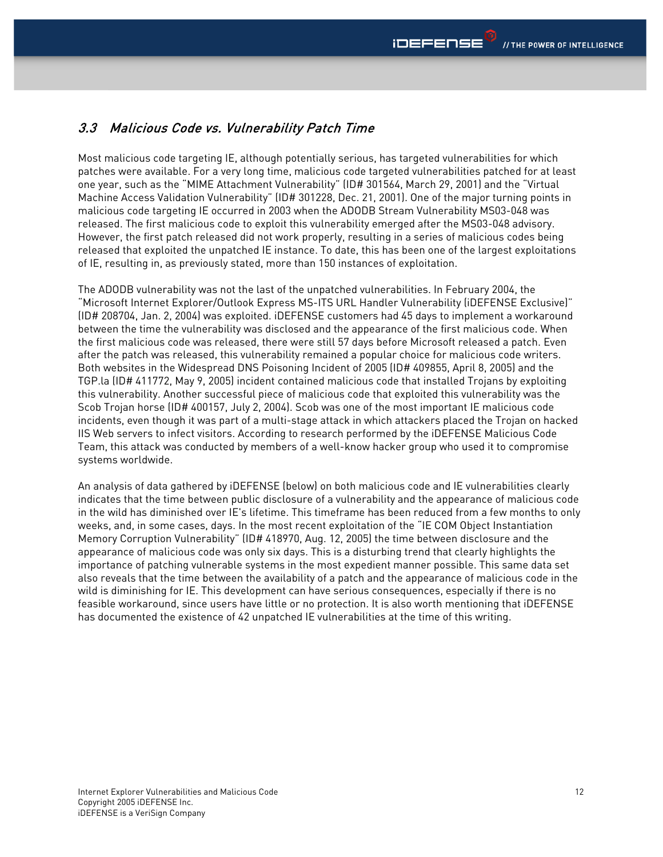#### <span id="page-11-0"></span>3.3 Malicious Code vs. Vulnerability Patch Time

Most malicious code targeting IE, although potentially serious, has targeted vulnerabilities for which patches were available. For a very long time, malicious code targeted vulnerabilities patched for at least one year, such as the "MIME Attachment Vulnerability" (ID# 301564, March 29, 2001) and the "Virtual Machine Access Validation Vulnerability" (ID# 301228, Dec. 21, 2001). One of the major turning points in malicious code targeting IE occurred in 2003 when the ADODB Stream Vulnerability MS03-048 was released. The first malicious code to exploit this vulnerability emerged after the MS03-048 advisory. However, the first patch released did not work properly, resulting in a series of malicious codes being released that exploited the unpatched IE instance. To date, this has been one of the largest exploitations of IE, resulting in, as previously stated, more than 150 instances of exploitation.

The ADODB vulnerability was not the last of the unpatched vulnerabilities. In February 2004, the "Microsoft Internet Explorer/Outlook Express MS-ITS URL Handler Vulnerability (iDEFENSE Exclusive)" (ID# 208704, Jan. 2, 2004) was exploited. iDEFENSE customers had 45 days to implement a workaround between the time the vulnerability was disclosed and the appearance of the first malicious code. When the first malicious code was released, there were still 57 days before Microsoft released a patch. Even after the patch was released, this vulnerability remained a popular choice for malicious code writers. Both websites in the Widespread DNS Poisoning Incident of 2005 (ID# 409855, April 8, 2005) and the TGP.la (ID# 411772, May 9, 2005) incident contained malicious code that installed Trojans by exploiting this vulnerability. Another successful piece of malicious code that exploited this vulnerability was the Scob Trojan horse (ID# 400157, July 2, 2004). Scob was one of the most important IE malicious code incidents, even though it was part of a multi-stage attack in which attackers placed the Trojan on hacked IIS Web servers to infect visitors. According to research performed by the iDEFENSE Malicious Code Team, this attack was conducted by members of a well-know hacker group who used it to compromise systems worldwide.

An analysis of data gathered by iDEFENSE (below) on both malicious code and IE vulnerabilities clearly indicates that the time between public disclosure of a vulnerability and the appearance of malicious code in the wild has diminished over IE's lifetime. This timeframe has been reduced from a few months to only weeks, and, in some cases, days. In the most recent exploitation of the "IE COM Object Instantiation Memory Corruption Vulnerability" (ID# 418970, Aug. 12, 2005) the time between disclosure and the appearance of malicious code was only six days. This is a disturbing trend that clearly highlights the importance of patching vulnerable systems in the most expedient manner possible. This same data set also reveals that the time between the availability of a patch and the appearance of malicious code in the wild is diminishing for IE. This development can have serious consequences, especially if there is no feasible workaround, since users have little or no protection. It is also worth mentioning that iDEFENSE has documented the existence of 42 unpatched IE vulnerabilities at the time of this writing.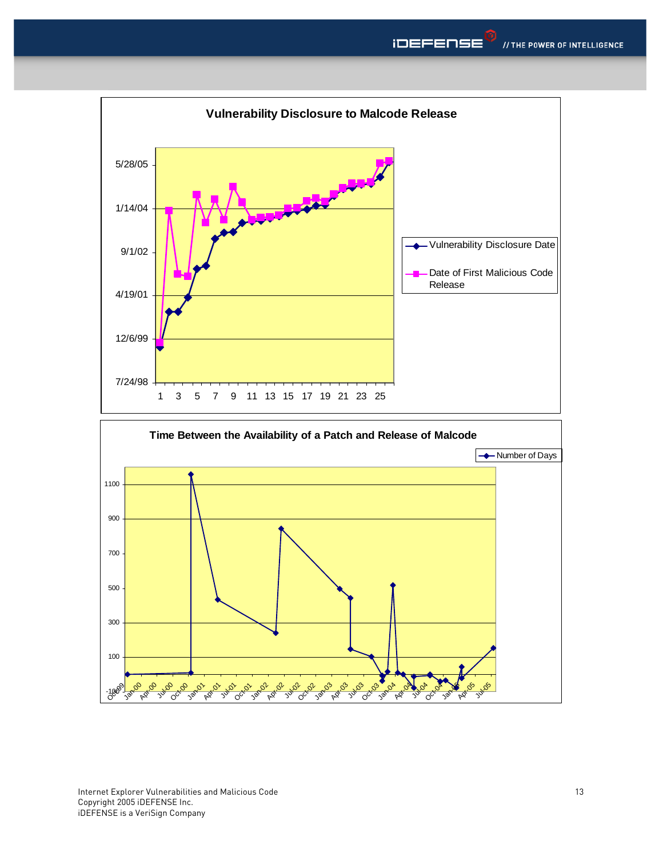

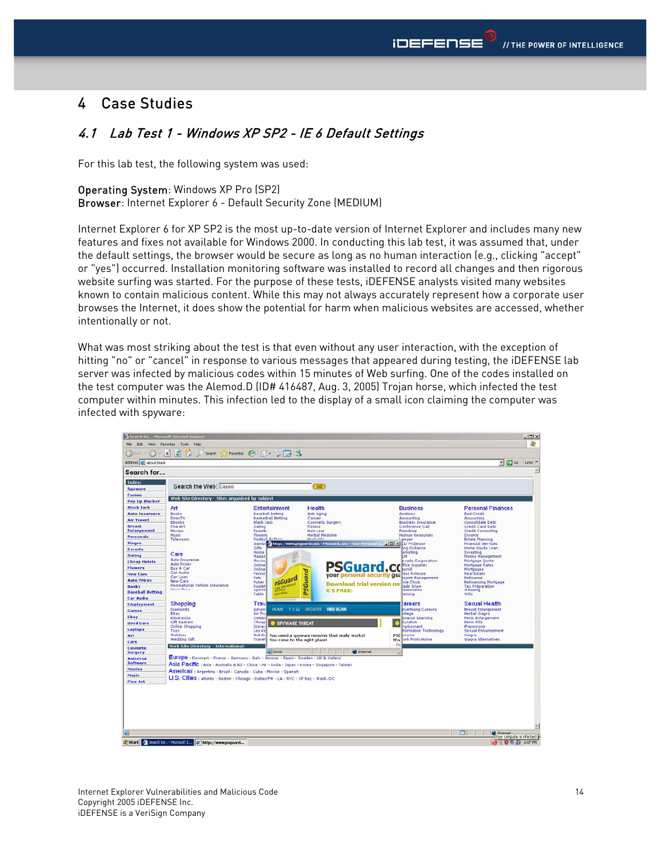# <span id="page-13-0"></span>4 Case Studies

#### 4.1 Lab Test 1 - Windows XP SP2 - IE 6 Default Settings

For this lab test, the following system was used:

#### Operating System: Windows XP Pro (SP2)

Browser: Internet Explorer 6 - Default Security Zone (MEDIUM)

Internet Explorer 6 for XP SP2 is the most up-to-date version of Internet Explorer and includes many new features and fixes not available for Windows 2000. In conducting this lab test, it was assumed that, under the default settings, the browser would be secure as long as no human interaction (e.g., clicking "accept" or "yes") occurred. Installation monitoring software was installed to record all changes and then rigorous website surfing was started. For the purpose of these tests, iDEFENSE analysts visited many websites known to contain malicious content. While this may not always accurately represent how a corporate user browses the Internet, it does show the potential for harm when malicious websites are accessed, whether intentionally or not.

What was most striking about the test is that even without any user interaction, with the exception of hitting "no" or "cancel" in response to various messages that appeared during testing, the iDEFENSE lab server was infected by malicious codes within 15 minutes of Web surfing. One of the codes installed on the test computer was the Alemod.D (ID# 416487, Aug. 3, 2005) Trojan horse, which infected the test computer within minutes. This infection led to the display of a small icon claiming the computer was infected with spyware:

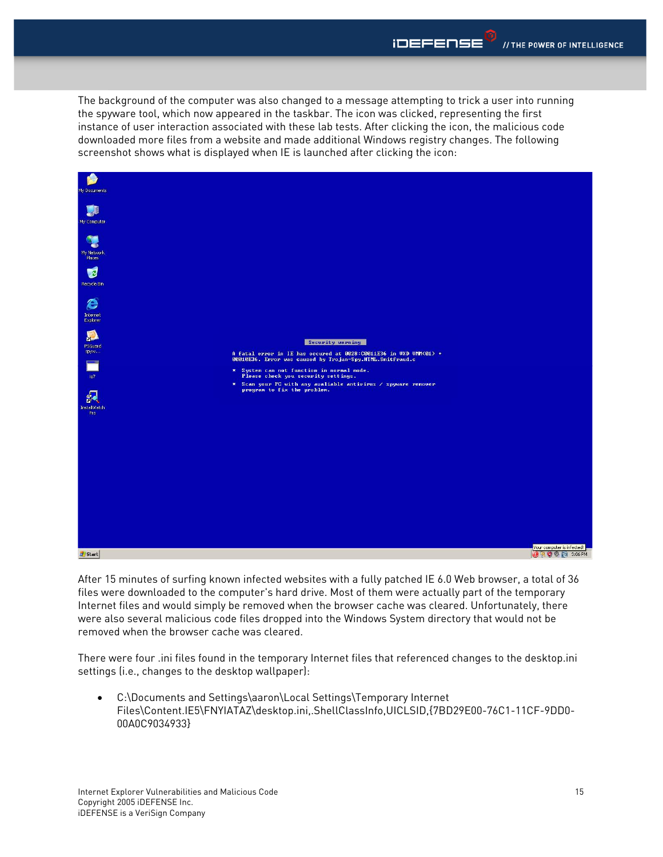The background of the computer was also changed to a message attempting to trick a user into running the spyware tool, which now appeared in the taskbar. The icon was clicked, representing the first instance of user interaction associated with these lab tests. After clicking the icon, the malicious code downloaded more files from a website and made additional Windows registry changes. The following screenshot shows what is displayed when IE is launched after clicking the icon:



After 15 minutes of surfing known infected websites with a fully patched IE 6.0 Web browser, a total of 36 files were downloaded to the computer's hard drive. Most of them were actually part of the temporary Internet files and would simply be removed when the browser cache was cleared. Unfortunately, there were also several malicious code files dropped into the Windows System directory that would not be removed when the browser cache was cleared.

There were four .ini files found in the temporary Internet files that referenced changes to the desktop.ini settings (i.e., changes to the desktop wallpaper):

• C:\Documents and Settings\aaron\Local Settings\Temporary Internet Files\Content.IE5\FNYIATAZ\desktop.ini,.ShellClassInfo,UICLSID,{7BD29E00-76C1-11CF-9DD0- 00A0C9034933}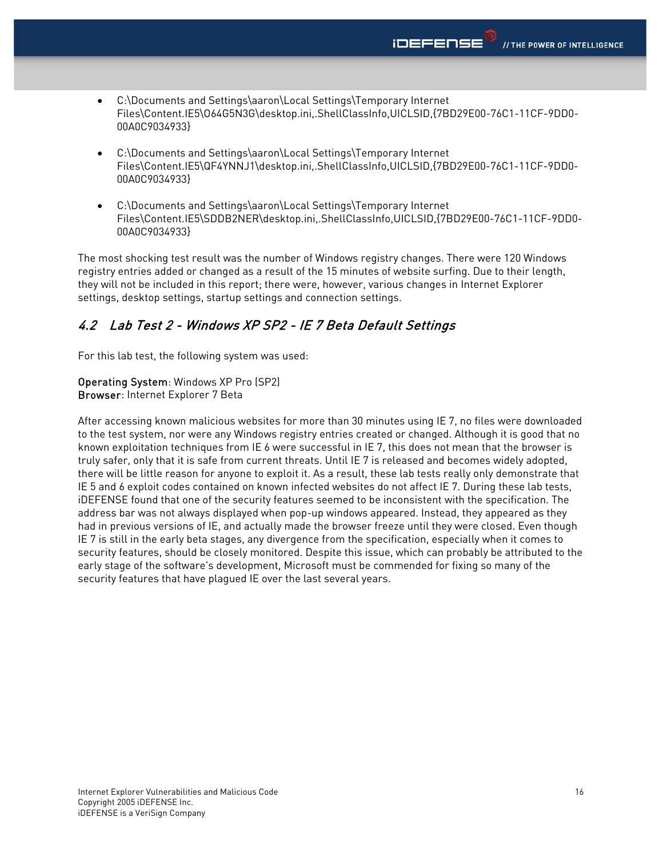- <span id="page-15-0"></span>• C:\Documents and Settings\aaron\Local Settings\Temporary Internet Files\Content.IE5\O64G5N3G\desktop.ini,.ShellClassInfo,UICLSID,{7BD29E00-76C1-11CF-9DD0- 00A0C9034933}
- C:\Documents and Settings\aaron\Local Settings\Temporary Internet Files\Content.IE5\QF4YNNJ1\desktop.ini,.ShellClassInfo,UICLSID,{7BD29E00-76C1-11CF-9DD0- 00A0C9034933}
- C:\Documents and Settings\aaron\Local Settings\Temporary Internet Files\Content.IE5\SDDB2NER\desktop.ini,.ShellClassInfo,UICLSID,{7BD29E00-76C1-11CF-9DD0- 00A0C9034933}

The most shocking test result was the number of Windows registry changes. There were 120 Windows registry entries added or changed as a result of the 15 minutes of website surfing. Due to their length, they will not be included in this report; there were, however, various changes in Internet Explorer settings, desktop settings, startup settings and connection settings.

#### 4.2 Lab Test 2 - Windows XP SP2 - IE 7 Beta Default Settings

For this lab test, the following system was used:

Operating System: Windows XP Pro (SP2) Browser: Internet Explorer 7 Beta

After accessing known malicious websites for more than 30 minutes using IE 7, no files were downloaded to the test system, nor were any Windows registry entries created or changed. Although it is good that no known exploitation techniques from IE 6 were successful in IE 7, this does not mean that the browser is truly safer, only that it is safe from current threats. Until IE 7 is released and becomes widely adopted, there will be little reason for anyone to exploit it. As a result, these lab tests really only demonstrate that IE 5 and 6 exploit codes contained on known infected websites do not affect IE 7. During these lab tests, iDEFENSE found that one of the security features seemed to be inconsistent with the specification. The address bar was not always displayed when pop-up windows appeared. Instead, they appeared as they had in previous versions of IE, and actually made the browser freeze until they were closed. Even though IE 7 is still in the early beta stages, any divergence from the specification, especially when it comes to security features, should be closely monitored. Despite this issue, which can probably be attributed to the early stage of the software's development, Microsoft must be commended for fixing so many of the security features that have plagued IE over the last several years.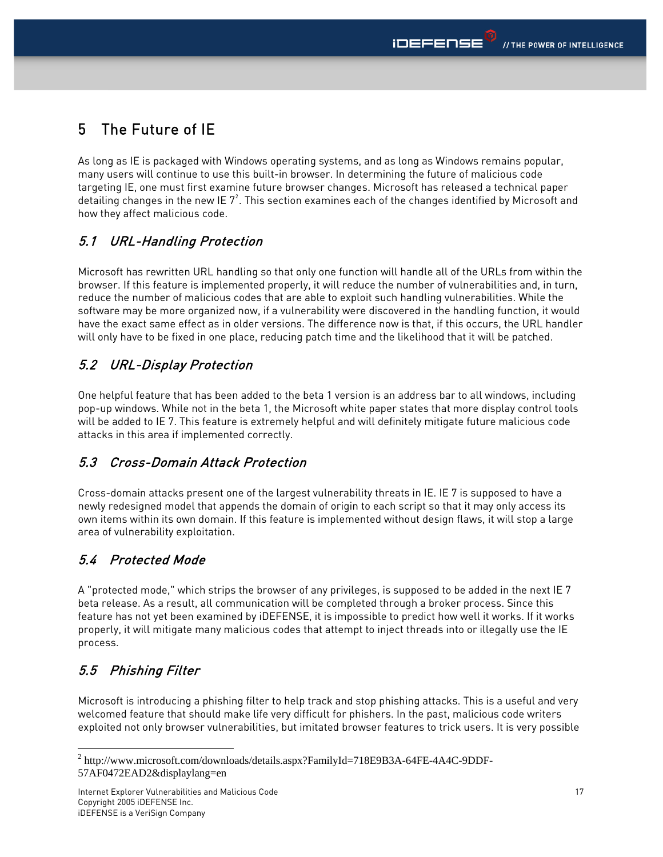# <span id="page-16-0"></span>5 The Future of IE

As long as IE is packaged with Windows operating systems, and as long as Windows remains popular, many users will continue to use this built-in browser. In determining the future of malicious code targeting IE, one must first examine future browser changes. Microsoft has released a technical paper detailing changes in the new IE  $7^2$  $7^2$ . This section examines each of the changes identified by Microsoft and how they affect malicious code.

### 5.1 URL-Handling Protection

Microsoft has rewritten URL handling so that only one function will handle all of the URLs from within the browser. If this feature is implemented properly, it will reduce the number of vulnerabilities and, in turn, reduce the number of malicious codes that are able to exploit such handling vulnerabilities. While the software may be more organized now, if a vulnerability were discovered in the handling function, it would have the exact same effect as in older versions. The difference now is that, if this occurs, the URL handler will only have to be fixed in one place, reducing patch time and the likelihood that it will be patched.

#### 5.2 URL-Display Protection

One helpful feature that has been added to the beta 1 version is an address bar to all windows, including pop-up windows. While not in the beta 1, the Microsoft white paper states that more display control tools will be added to IE 7. This feature is extremely helpful and will definitely mitigate future malicious code attacks in this area if implemented correctly.

#### 5.3 Cross-Domain Attack Protection

Cross-domain attacks present one of the largest vulnerability threats in IE. IE 7 is supposed to have a newly redesigned model that appends the domain of origin to each script so that it may only access its own items within its own domain. If this feature is implemented without design flaws, it will stop a large area of vulnerability exploitation.

# 5.4 Protected Mode

A "protected mode," which strips the browser of any privileges, is supposed to be added in the next IE 7 beta release. As a result, all communication will be completed through a broker process. Since this feature has not yet been examined by iDEFENSE, it is impossible to predict how well it works. If it works properly, it will mitigate many malicious codes that attempt to inject threads into or illegally use the IE process.

# 5.5 Phishing Filter

Microsoft is introducing a phishing filter to help track and stop phishing attacks. This is a useful and very welcomed feature that should make life very difficult for phishers. In the past, malicious code writers exploited not only browser vulnerabilities, but imitated browser features to trick users. It is very possible

<span id="page-16-1"></span> $\overline{a}$ <sup>2</sup> http://www.microsoft.com/downloads/details.aspx?FamilyId=718E9B3A-64FE-4A4C-9DDF-57AF0472EAD2&displaylang=en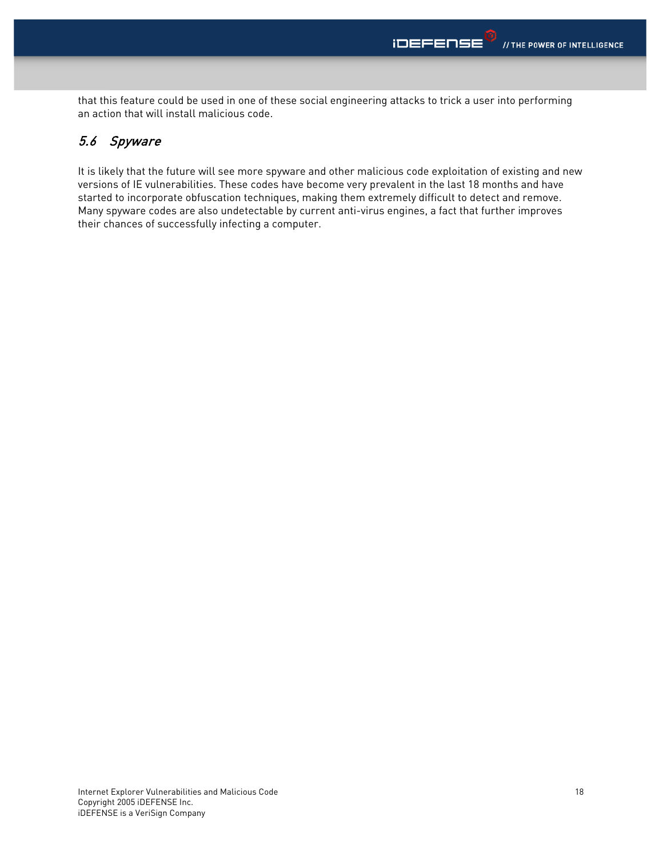<span id="page-17-0"></span>that this feature could be used in one of these social engineering attacks to trick a user into performing an action that will install malicious code.

#### 5.6 Spyware

It is likely that the future will see more spyware and other malicious code exploitation of existing and new versions of IE vulnerabilities. These codes have become very prevalent in the last 18 months and have started to incorporate obfuscation techniques, making them extremely difficult to detect and remove. Many spyware codes are also undetectable by current anti-virus engines, a fact that further improves their chances of successfully infecting a computer.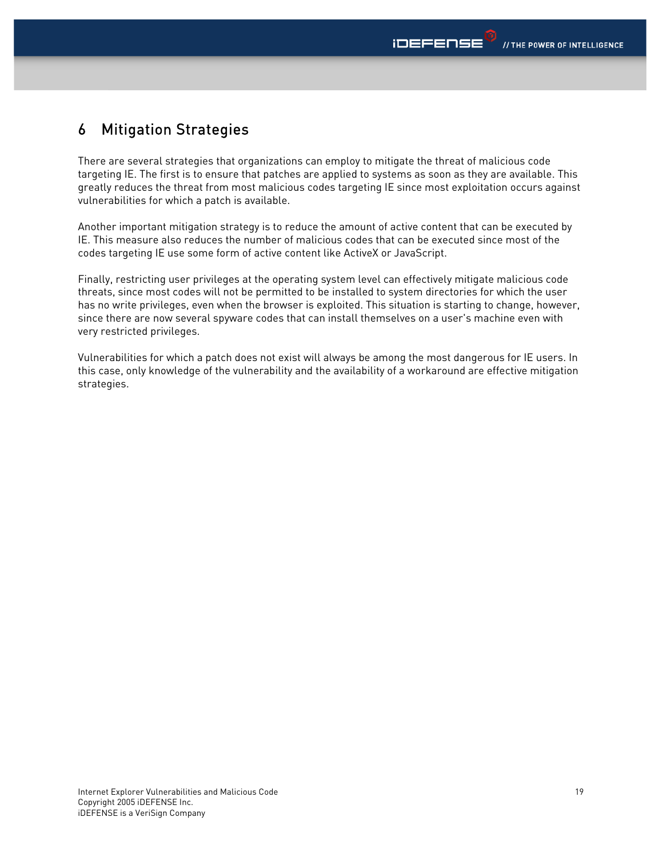# <span id="page-18-0"></span>6 Mitigation Strategies

There are several strategies that organizations can employ to mitigate the threat of malicious code targeting IE. The first is to ensure that patches are applied to systems as soon as they are available. This greatly reduces the threat from most malicious codes targeting IE since most exploitation occurs against vulnerabilities for which a patch is available.

Another important mitigation strategy is to reduce the amount of active content that can be executed by IE. This measure also reduces the number of malicious codes that can be executed since most of the codes targeting IE use some form of active content like ActiveX or JavaScript.

Finally, restricting user privileges at the operating system level can effectively mitigate malicious code threats, since most codes will not be permitted to be installed to system directories for which the user has no write privileges, even when the browser is exploited. This situation is starting to change, however, since there are now several spyware codes that can install themselves on a user's machine even with very restricted privileges.

Vulnerabilities for which a patch does not exist will always be among the most dangerous for IE users. In this case, only knowledge of the vulnerability and the availability of a workaround are effective mitigation strategies.